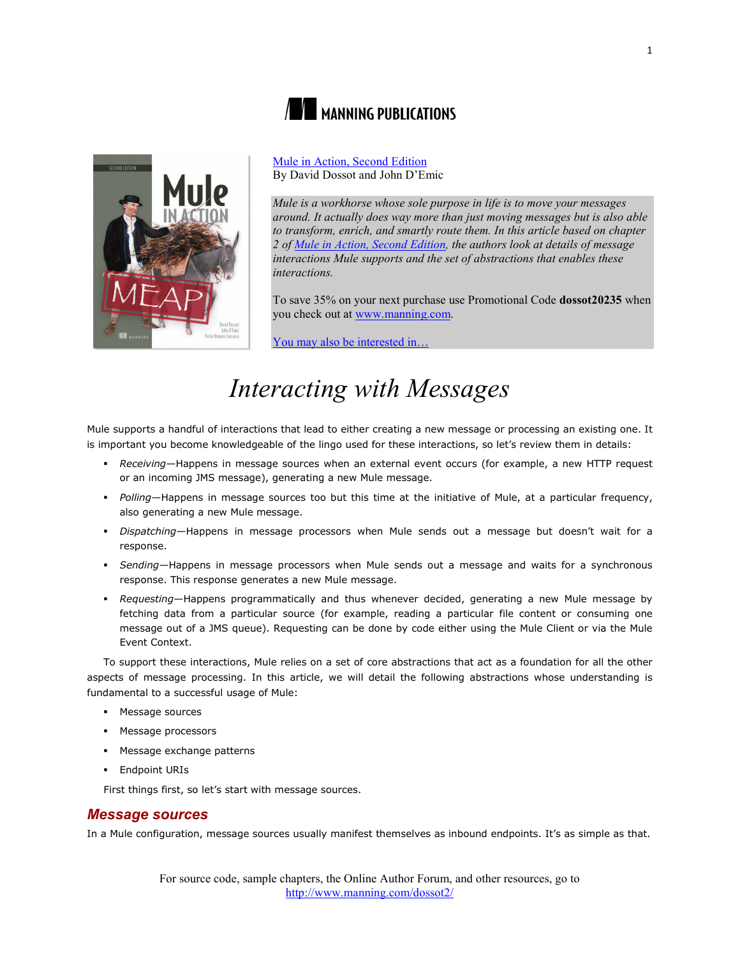



[Mule in Action, Second Edition](http://www.manning.com/dossot2/) By David Dossot and John D'Emic

*Mule is a workhorse whose sole purpose in life is to move your messages around. It actually does way more than just moving messages but is also able to transform, enrich, and smartly route them. In this article based on chapter 2 of [Mule in Action, Second Edition,](http://www.manning.com/dossot2/) the authors look at details of message interactions Mule supports and the set of abstractions that enables these interactions.*

To save 35% on your next purchase use Promotional Code **dossot20235** when you check out at [www.manning.com.](file://localhost/Users/blaisebace/Downloads/www.manning.com)

[You may also be interested in…](#page-5-0)

# *Interacting with Messages*

Mule supports a handful of interactions that lead to either creating a new message or processing an existing one. It is important you become knowledgeable of the lingo used for these interactions, so let's review them in details:

- *Receiving*—Happens in message sources when an external event occurs (for example, a new HTTP request or an incoming JMS message), generating a new Mule message.
- *Polling*—Happens in message sources too but this time at the initiative of Mule, at a particular frequency, also generating a new Mule message.
- *Dispatching—*Happens in message processors when Mule sends out a message but doesn't wait for a response.
- *Sending*—Happens in message processors when Mule sends out a message and waits for a synchronous response. This response generates a new Mule message.
- *Requesting*—Happens programmatically and thus whenever decided, generating a new Mule message by fetching data from a particular source (for example, reading a particular file content or consuming one message out of a JMS queue). Requesting can be done by code either using the Mule Client or via the Mule Event Context.

To support these interactions, Mule relies on a set of core abstractions that act as a foundation for all the other aspects of message processing. In this article, we will detail the following abstractions whose understanding is fundamental to a successful usage of Mule:

- Message sources
- **Message processors**
- Message exchange patterns
- **Endpoint URIs**

First things first, so let's start with message sources.

# *Message sources*

In a Mule configuration, message sources usually manifest themselves as inbound endpoints. It's as simple as that.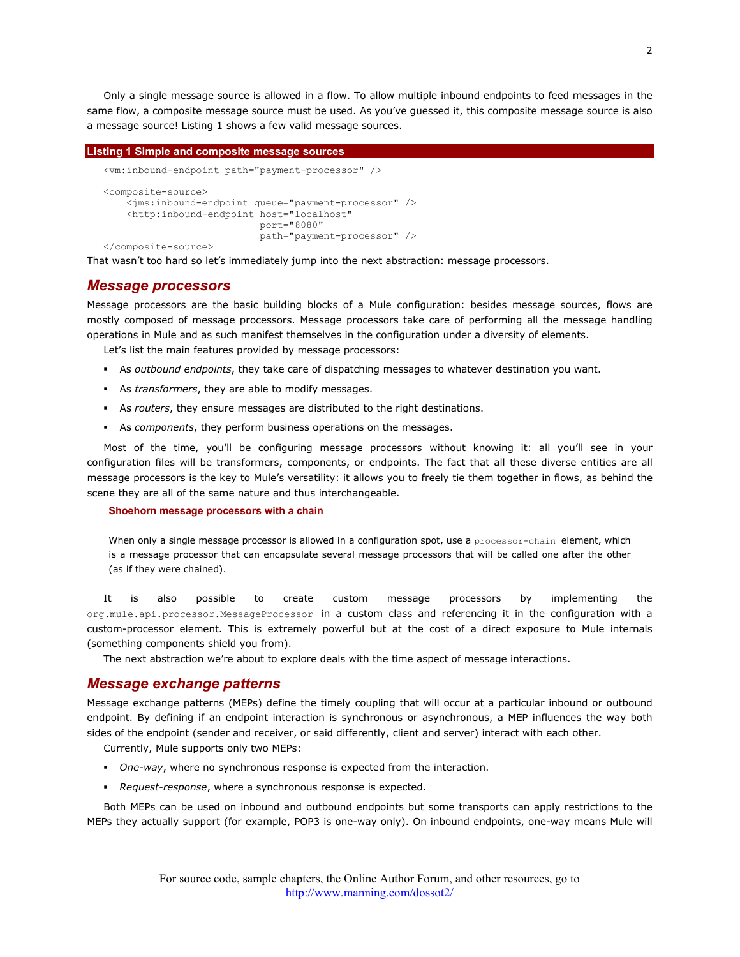Only a single message source is allowed in a flow. To allow multiple inbound endpoints to feed messages in the same flow, a composite message source must be used. As you've guessed it, this composite message source is also a message source! Listing 1 shows a few valid message sources.

```
Listing 1 Simple and composite message sources
   <vm:inbound-endpoint path="payment-processor" />
   <composite-source>
        <jms:inbound-endpoint queue="payment-processor" />
        <http:inbound-endpoint host="localhost"
                               port="8080"
                              path="payment-processor" />
   </composite-source>
```
That wasn't too hard so let's immediately jump into the next abstraction: message processors.

## *Message processors*

Message processors are the basic building blocks of a Mule configuration: besides message sources, flows are mostly composed of message processors. Message processors take care of performing all the message handling operations in Mule and as such manifest themselves in the configuration under a diversity of elements.

Let's list the main features provided by message processors:

- As *outbound endpoints*, they take care of dispatching messages to whatever destination you want.
- As *transformers*, they are able to modify messages.
- As *routers*, they ensure messages are distributed to the right destinations.
- As *components*, they perform business operations on the messages.

Most of the time, you'll be configuring message processors without knowing it: all you'll see in your configuration files will be transformers, components, or endpoints. The fact that all these diverse entities are all message processors is the key to Mule's versatility: it allows you to freely tie them together in flows, as behind the scene they are all of the same nature and thus interchangeable.

#### **Shoehorn message processors with a chain**

When only a single message processor is allowed in a configuration spot, use a processor-chain element, which is a message processor that can encapsulate several message processors that will be called one after the other (as if they were chained).

It is also possible to create custom message processors by implementing the org.mule.api.processor.MessageProcessor in a custom class and referencing it in the configuration with a custom-processor element. This is extremely powerful but at the cost of a direct exposure to Mule internals (something components shield you from).

The next abstraction we're about to explore deals with the time aspect of message interactions.

## *Message exchange patterns*

Message exchange patterns (MEPs) define the timely coupling that will occur at a particular inbound or outbound endpoint. By defining if an endpoint interaction is synchronous or asynchronous, a MEP influences the way both sides of the endpoint (sender and receiver, or said differently, client and server) interact with each other.

Currently, Mule supports only two MEPs:

- *One-way*, where no synchronous response is expected from the interaction.
- *Request-response*, where a synchronous response is expected.

Both MEPs can be used on inbound and outbound endpoints but some transports can apply restrictions to the MEPs they actually support (for example, POP3 is one-way only). On inbound endpoints, one-way means Mule will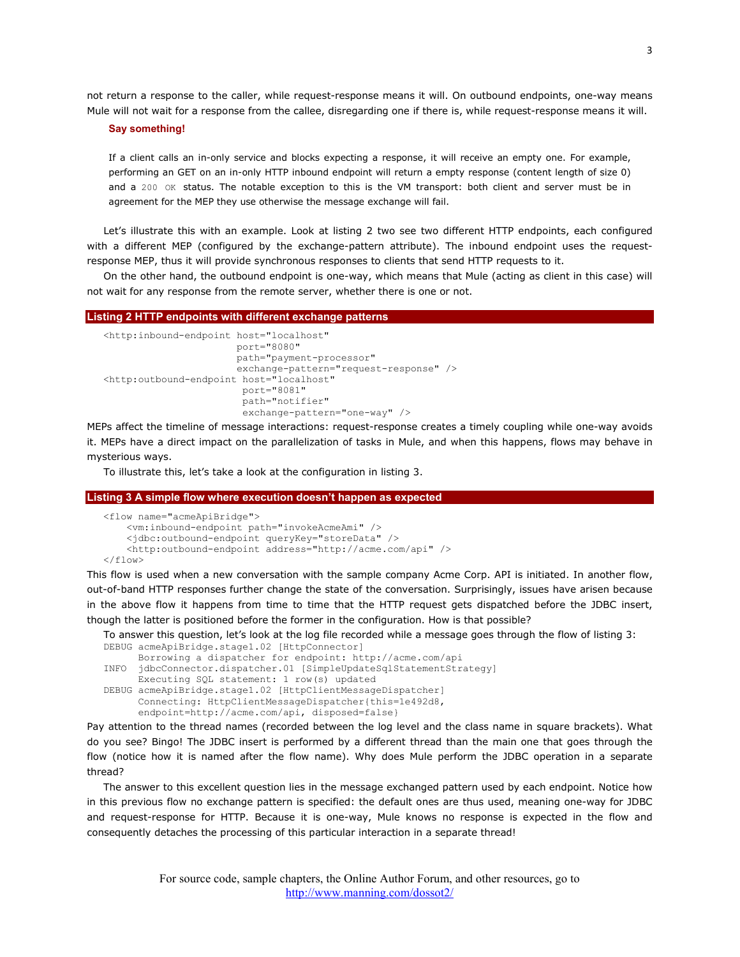not return a response to the caller, while request-response means it will. On outbound endpoints, one-way means Mule will not wait for a response from the callee, disregarding one if there is, while request-response means it will.

#### **Say something!**

If a client calls an in-only service and blocks expecting a response, it will receive an empty one. For example, performing an GET on an in-only HTTP inbound endpoint will return a empty response (content length of size 0) and a 200 OK status. The notable exception to this is the VM transport: both client and server must be in agreement for the MEP they use otherwise the message exchange will fail.

Let's illustrate this with an example. Look at listing 2 two see two different HTTP endpoints, each configured with a different MEP (configured by the exchange-pattern attribute). The inbound endpoint uses the requestresponse MEP, thus it will provide synchronous responses to clients that send HTTP requests to it.

On the other hand, the outbound endpoint is one-way, which means that Mule (acting as client in this case) will not wait for any response from the remote server, whether there is one or not.

#### **Listing 2 HTTP endpoints with different exchange patterns**

```
<http:inbound-endpoint host="localhost"
                        port="8080"
                       path="payment-processor"
                       exchange-pattern="request-response" />
<http:outbound-endpoint host="localhost"
                         port="8081"
                        path="notifier"
                        exchange-pattern="one-way" />
```
MEPs affect the timeline of message interactions: request-response creates a timely coupling while one-way avoids it. MEPs have a direct impact on the parallelization of tasks in Mule, and when this happens, flows may behave in mysterious ways.

To illustrate this, let's take a look at the configuration in listing 3.

#### **Listing 3 A simple flow where execution doesn't happen as expected**

```
<flow name="acmeApiBridge">
     <vm:inbound-endpoint path="invokeAcmeAmi" />
     <jdbc:outbound-endpoint queryKey="storeData" />
     <http:outbound-endpoint address="http://acme.com/api" />
\langle / flow>
```
This flow is used when a new conversation with the sample company Acme Corp. API is initiated. In another flow, out-of-band HTTP responses further change the state of the conversation. Surprisingly, issues have arisen because in the above flow it happens from time to time that the HTTP request gets dispatched before the JDBC insert, though the latter is positioned before the former in the configuration. How is that possible?

To answer this question, let's look at the log file recorded while a message goes through the flow of listing 3: DEBUG acmeApiBridge.stage1.02 [HttpConnector]

```
 Borrowing a dispatcher for endpoint: http://acme.com/api
INFO jdbcConnector.dispatcher.01 [SimpleUpdateSqlStatementStrategy]
      Executing SQL statement: 1 row(s) updated
DEBUG acmeApiBridge.stage1.02 [HttpClientMessageDispatcher]
       Connecting: HttpClientMessageDispatcher{this=1e492d8,
       endpoint=http://acme.com/api, disposed=false}
```
Pay attention to the thread names (recorded between the log level and the class name in square brackets). What do you see? Bingo! The JDBC insert is performed by a different thread than the main one that goes through the flow (notice how it is named after the flow name). Why does Mule perform the JDBC operation in a separate thread?

The answer to this excellent question lies in the message exchanged pattern used by each endpoint. Notice how in this previous flow no exchange pattern is specified: the default ones are thus used, meaning one-way for JDBC and request-response for HTTP. Because it is one-way, Mule knows no response is expected in the flow and consequently detaches the processing of this particular interaction in a separate thread!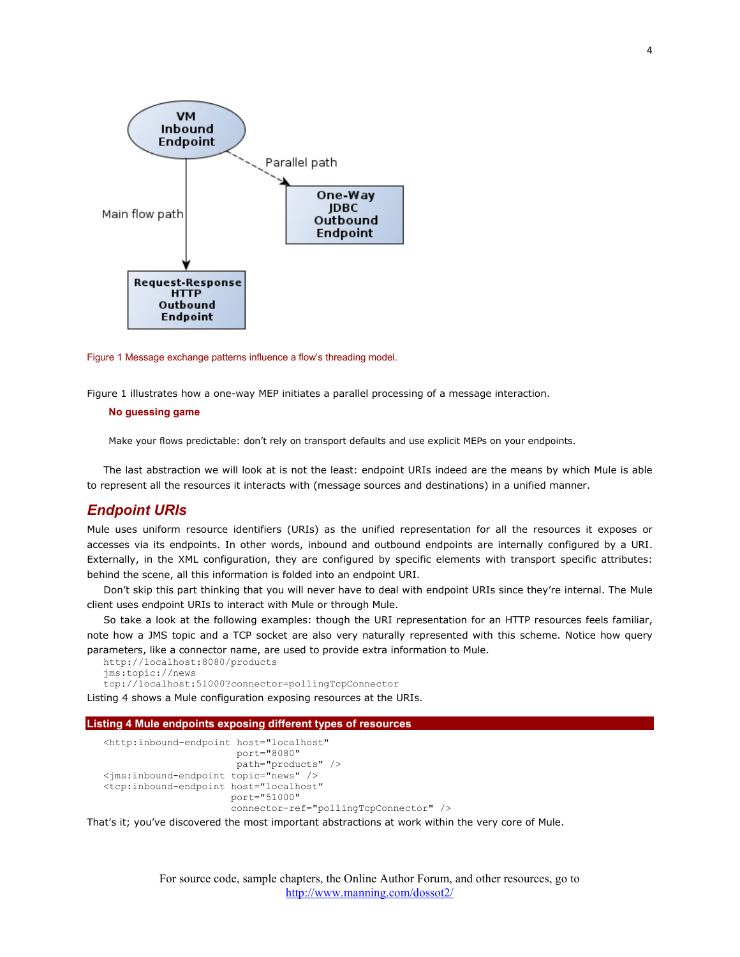

Figure 1 Message exchange patterns influence a flow's threading model.

Figure 1 illustrates how a one-way MEP initiates a parallel processing of a message interaction.

## **No guessing game**

Make your flows predictable: don't rely on transport defaults and use explicit MEPs on your endpoints.

The last abstraction we will look at is not the least: endpoint URIs indeed are the means by which Mule is able to represent all the resources it interacts with (message sources and destinations) in a unified manner.

# *Endpoint URIs*

Mule uses uniform resource identifiers (URIs) as the unified representation for all the resources it exposes or accesses via its endpoints. In other words, inbound and outbound endpoints are internally configured by a URI. Externally, in the XML configuration, they are configured by specific elements with transport specific attributes: behind the scene, all this information is folded into an endpoint URI.

Don't skip this part thinking that you will never have to deal with endpoint URIs since they're internal. The Mule client uses endpoint URIs to interact with Mule or through Mule.

So take a look at the following examples: though the URI representation for an HTTP resources feels familiar, note how a JMS topic and a TCP socket are also very naturally represented with this scheme. Notice how query parameters, like a connector name, are used to provide extra information to Mule.

```
http://localhost:8080/products
jms:topic://news
```
tcp://localhost:51000?connector=pollingTcpConnector

Listing 4 shows a Mule configuration exposing resources at the URIs.

#### **Listing 4 Mule endpoints exposing different types of resources**

```
<http:inbound-endpoint host="localhost"
                        port="8080"
                        path="products" />
<jms:inbound-endpoint topic="news" />
<tcp:inbound-endpoint host="localhost"
                       port="51000"
                      connector-ref="pollingTcpConnector" />
```
That's it; you've discovered the most important abstractions at work within the very core of Mule.

For source code, sample chapters, the Online Author Forum, and other resources, go to <http://www.manning.com/dossot2/>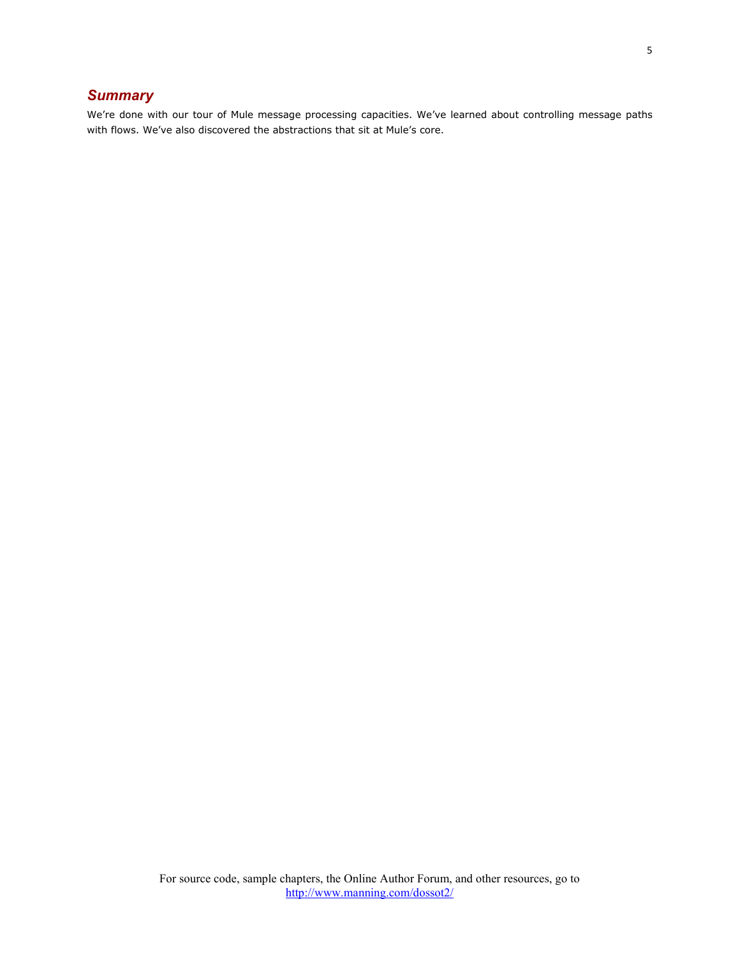# *Summary*

We're done with our tour of Mule message processing capacities. We've learned about controlling message paths with flows. We've also discovered the abstractions that sit at Mule's core.